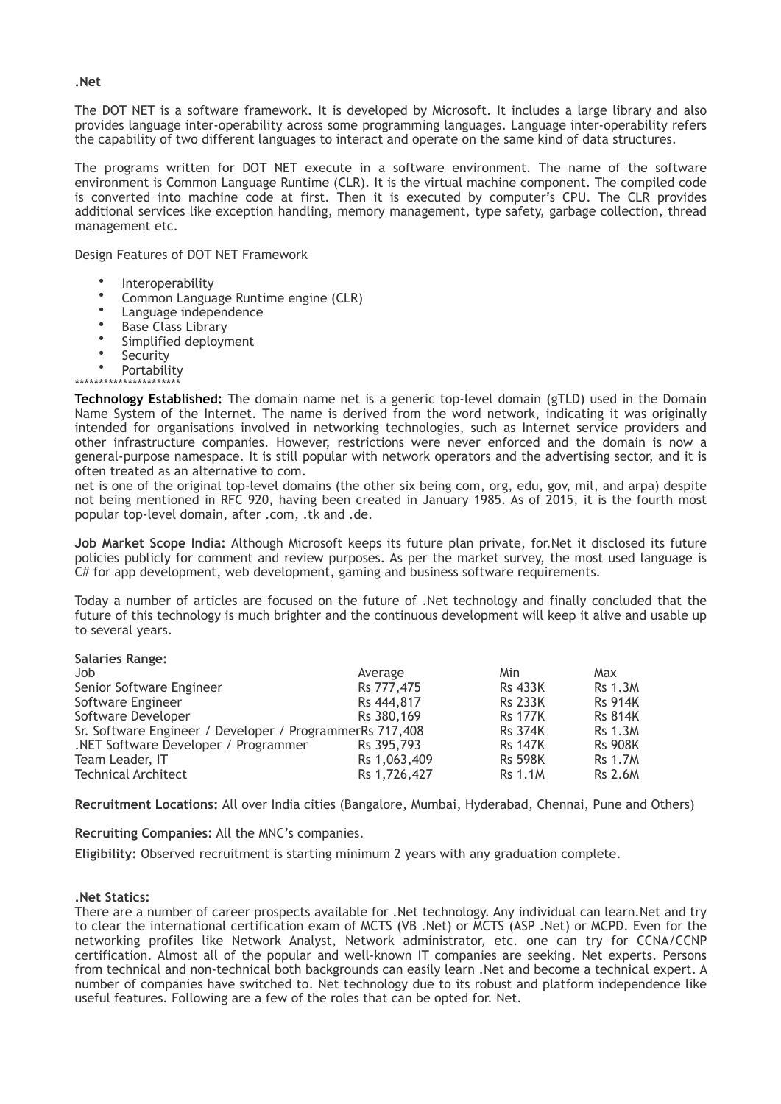The DOT NET is a software framework. It is developed by Microsoft. It includes a large library and also provides language inter-operability across some programming languages. Language inter-operability refers the capability of two different languages to interact and operate on the same kind of data structures.

The programs written for DOT NET execute in a software environment. The name of the software environment is Common Language Runtime (CLR). It is the virtual machine component. The compiled code is converted into machine code at first. Then it is executed by computer's CPU. The CLR provides additional services like exception handling, memory management, type safety, garbage collection, thread management etc.

Design Features of DOT NET Framework

- **Interoperability**
- Common Language Runtime engine (CLR)
- Language independence
- Base Class Library
- Simplified deployment
- Security<br>• Pertabili
- **Portability**

\*\*\*\*\*\*\*\*\*\*\*\*\*\*\*\*\*\*\*\*\*\* **Technology Established:** The domain name net is a generic top-level domain (gTLD) used in the Domain Name System of the Internet. The name is derived from the word network, indicating it was originally intended for organisations involved in networking technologies, such as Internet service providers and other infrastructure companies. However, restrictions were never enforced and the domain is now a general-purpose namespace. It is still popular with network operators and the advertising sector, and it is often treated as an alternative to com.

net is one of the original top-level domains (the other six being com, org, edu, gov, mil, and arpa) despite not being mentioned in RFC 920, having been created in January 1985. As of 2015, it is the fourth most popular top-level domain, after .com, .tk and .de.

**Job Market Scope India:** Although Microsoft keeps its future plan private, for.Net it disclosed its future policies publicly for comment and review purposes. As per the market survey, the most used language is C# for app development, web development, gaming and business software requirements.

Today a number of articles are focused on the future of .Net technology and finally concluded that the future of this technology is much brighter and the continuous development will keep it alive and usable up to several years.

|  | <b>Salaries Range:</b> |
|--|------------------------|
|  |                        |
|  |                        |

| Job                                                      | Average      | Min            | Max            |
|----------------------------------------------------------|--------------|----------------|----------------|
| Senior Software Engineer                                 | Rs 777,475   | <b>Rs 433K</b> | <b>Rs 1.3M</b> |
| Software Engineer                                        | Rs 444,817   | <b>Rs 233K</b> | <b>Rs 914K</b> |
| Software Developer                                       | Rs 380,169   | <b>Rs 177K</b> | <b>Rs 814K</b> |
| Sr. Software Engineer / Developer / ProgrammerRs 717,408 |              | <b>Rs 374K</b> | <b>Rs 1.3M</b> |
| .NET Software Developer / Programmer                     | Rs 395,793   | <b>Rs 147K</b> | <b>Rs 908K</b> |
| Team Leader, IT                                          | Rs 1,063,409 | <b>Rs 598K</b> | <b>Rs 1.7M</b> |
| <b>Technical Architect</b>                               | Rs 1,726,427 | <b>Rs 1.1M</b> | <b>Rs 2.6M</b> |

**Recruitment Locations:** All over India cities (Bangalore, Mumbai, Hyderabad, Chennai, Pune and Others)

**Recruiting Companies:** All the MNC's companies.

**Eligibility:** Observed recruitment is starting minimum 2 years with any graduation complete.

## **.Net Statics:**

There are a number of career prospects available for .Net technology. Any individual can learn.Net and try to clear the international certification exam of MCTS (VB .Net) or MCTS (ASP .Net) or MCPD. Even for the networking profiles like Network Analyst, Network administrator, etc. one can try for CCNA/CCNP certification. Almost all of the popular and well-known IT companies are seeking. Net experts. Persons from technical and non-technical both backgrounds can easily learn .Net and become a technical expert. A number of companies have switched to. Net technology due to its robust and platform independence like useful features. Following are a few of the roles that can be opted for. Net.

## **.Net**